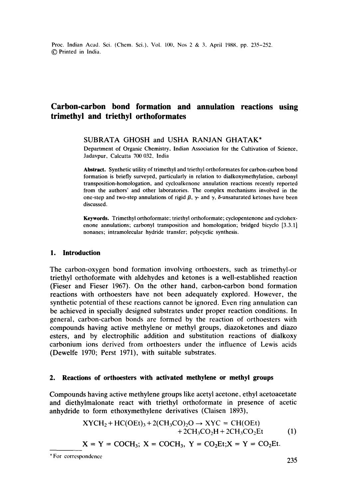Proc. Indian Acad. Sci. (Chem. Sci.), Vol. 100, Nos 2 & 3, April 1988, pp. 235-252. 9 Printed in India.

# **Carbon-carbon bond formation and annulation reactions using trimethyl and triethyl orthoformates**

SUBRATA GHOSH and USHA RANJAN GHATAK\*

Department of Organic Chemistry, Indian Association for the Cultivation of Science, Jadavpur, Calcutta 700 032, India

**Abstract.** Synthetic utility of trimethyl and triethyl orthoformates for carbon-carbon bond formation is briefly surveyed, particularly in relation to dialkoxymethylation, carbonyl transposition-homologation, and cycloalkenone annulation reactions recently reported from the authors' and other laboratories. The complex mechanisms involved in the one-step and two-step annulations of rigid  $\beta$ ,  $\gamma$ - and  $\gamma$ ,  $\delta$ -unsaturated ketones have been discussed.

**Keywords.** Trimethyl orthoformate; triethyl orthoformate; cyclopentenone and cyclohexenone annulations; carbonyl transposition and homologation; bridged bicyelo [3.3.1] nonanes; intramolecular hydride transfer; polycyclic synthesis.

# **1. Introduction**

The carbon-oxygen bond formation involving orthoesters, such as trimethyl-or triethyl orthoformate with aldehydes and ketones is a well-established reaction (Fieser and Fieser 1967). On the other hand, carbon-carbon bond formation reactions with orthoesters have not been adequately explored. However, the synthetic potential of these reactions cannot be ignored. Even ring annulation can be achieved in specially designed substrates under proper reaction conditions. In general, carbon-carbon bonds are formed by lhe reaction of orthoesters with compounds having active methylene or methyl groups, diazoketones and diazo esters, and by electrophilic addition and substitution reactions of dialkoxy carbonium ions derived from orthoesters under the influence of Lewis acids (Dewelfe 1970; Perst 1971), with suitable substrates.

### **2. Reactions of orthoesters with activated methylene or methyl groups**

Compounds having active methylene groups like acetyl acetone, ethyl acetoacetate and diethylmalonate react with triethyl orthoformate in presence of acetic anhydride to form ethoxymethylene derivatives (Ciaisen 1893),

$$
XYCH2 + HC(OEt)3 + 2(CH3CO2O2O \rightarrow XYZ = CH(OEt)+ 2CH3CO2H + 2CH3CO2Et
$$
 (1)  

$$
X = Y = COCH3; X = COCH3, Y = CO2Et; X = Y = CO2Et.
$$

<sup>\*</sup> For correspondence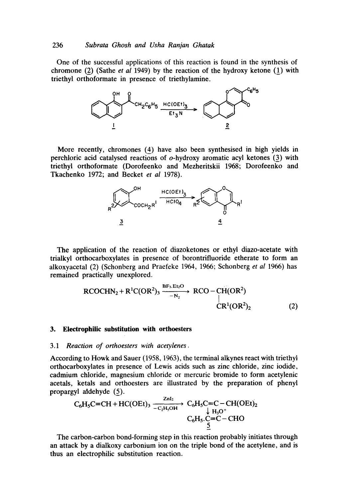One of the successful applications of this reaction is found in the synthesis of chromone (2) (Sathe *et al* 1949) by the reaction of the hydroxy ketone (1) with triethyl orthoformate in presence of triethylamine.



More recently, chromones (4) have also been synthesised in high yields in perchloric acid catalysed reactions of o-hydroxy aromatic acyl ketones (3) with triethyl orthoformate (Dorofeenko and Mezheritskii 1968; Dorofeenko and Tkachenko 1972; and Becket *et al* 1978).



The application of the reaction of diazoketones or ethyl diazo-acetate with trialkyl orthocarboxylates in presence of borontrifluoride etherate to form an alkoxyacetal (2) (Schonberg and Praefeke 1964, 1966; Schonberg *et al* 1966) has remained practically unexplored.

$$
\text{RCOCHN}_2 + \text{R}^1\text{C}(\text{OR}^2)_3 \xrightarrow{-N_2} \text{RCO} - \text{CH}(\text{OR}^2) \\
\downarrow \\
\text{CR}^1(\text{OR}^2)_2 \tag{2}
$$

### **3. Eiectrophilic substitution with orthoesters**

#### 3.1 *Reaction of orthoesters with acetylenes.*

According to Howk and Sauer (1958, 1963), the terminal alkynes react with triethyl orthocarboxylates in presence of Lewis acids such as zinc chloride, zinc iodide, cadmium chloride, magnesium chloride or mercuric bromide to form acetylenic acetals, ketals and orthoesters are illustrated by the preparation of phenyl propargyl aldehyde (5).

$$
C_6H_5C=CH + HC(OEt)_3 \xrightarrow[C_2H_5OH]{} C_6H_5C=C-CH(OEt)_2
$$
  
\n
$$
C_6H_5.C=C-CHO
$$
  
\n
$$
C_6H_5.C=C-CHO
$$

The carbon-carbon bond-forming step in this reaction probably initiates through an attack by a dialkoxy carbonium ion on the triple bond of the acetylene, and is thus an electrophilic substitution reaction.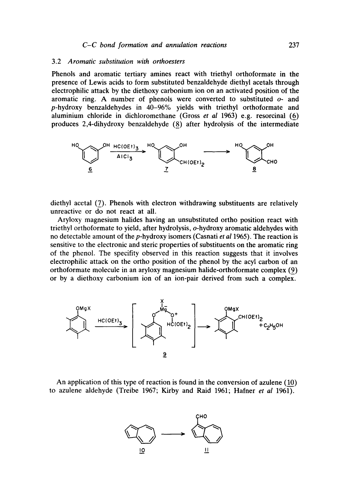#### 3.2 *Aromatic substitution with orthoesters*

Phenols and aromatic tertiary amines react with triethyl orthoformate in the presence of Lewis acids to form substituted benzaldehyde diethyl acetals through electrophilic attack by the diethoxy carbonium ion on an activated position of the aromatic ring. A number of phenols were converted to substituted  $o<sub>z</sub>$  and p-hydroxy benzaldehydes in 40-96% yields with triethyl orthoformate and aluminium chloride in dichloromethane (Gross *et al* 1963) e.g. resorcinal (6) produces 2,4-dihydroxy benzaldehyde (8) after hydrolysis of the intermediate



diethyl acetal (7). Phenols with electron withdrawing substituents are relatively unreactive or do not react at all.

Aryloxy magnesium halides having an unsubstituted ortho position react with triethyl orthoformate to yield, after hydrolysis, o-hydroxy aromatic aldehydes with no detectable amount of the p-hydroxy isomers (Casnati *et al* 1965). The reaction is sensitive to the electronic and steric properties of substituents on the aromatic ring of the phenol. The specifity observed in this reaction suggests that it involves electrophilic attack on the ortho position of the phenol by the acyl carbon of an orthoformate molecule in an aryloxy magnesium halide-orthoformate complex (9) or by a diethoxy carbonium ion of an ion-pair derived from such a complex.



An application of this type of reaction is found in the conversion of azulene (10) to azulene aldehyde (Treibe 1967; Kirby and Raid 1961; Hafner *et al* 1961).

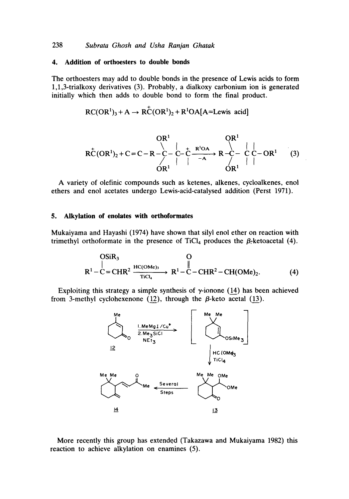## **4. Addition of orthoesters to double bonds**

The orthoesters may add to double bonds in the presence of Lewis acids to form 1,1,3-trialkoxy derivatives (3). Probably, a dialkoxy carbonium ion is generated initially which then adds to double bond to form the final product.

$$
RC(OR1)3 + A \rightarrow R\overset{+}{C}(OR1)2 + R1OA[A=Lewis acid]
$$

OR l OR 1 RC(OR1)z+C=C-R-C -C-C ) R-C- CC-OR 1 **/ I O/R1 f I** OR ~ (3)

A variety of olefinic compounds such as ketenes, alkenes, cycloalkenes, enol ethers and enol acetates undergo Lewis-acid-catalysed addition (Perst 1971).

# **5. Alkylation of enolates with orthoformates**

Mukaiyama and Hayashi (1974) have shown that silyl enol ether on reaction with trimethyl orthoformate in the presence of TiCl<sub>4</sub> produces the  $\beta$ -ketoacetal (4).

OSiR<sub>3</sub> O  
\n
$$
R1-C=CHR2 \xrightarrow{Tic(a)} R1-C-CHR2-CH(OMe)2.
$$
\n(4)

Exploiting this strategy a simple synthesis of  $\gamma$ -ionone (14) has been achieved from 3-methyl cyclohexenone (12), through the  $\beta$ -keto acetal (13).



More recently this group has extended (Takazawa and Mukaiyama 1982) this reaction to achieve alkylation on enamines (5).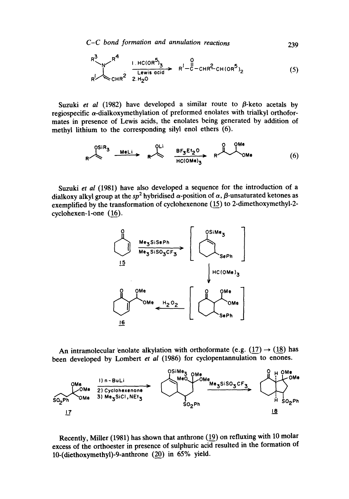*C-C bond formation and annulation reactions* 

$$
R^{3} \longrightarrow R^{4} \longrightarrow R^{4} \longrightarrow R^{1 \text{ HC(OR}^{5})} \times R^{1} - C - C + R^{2} \text{ CH(OR}^{5})}_{2} \times R^{1} - C - C + R^{2} \text{ CH(OR}^{5})}_{2}
$$
 (5)

Suzuki *et al* (1982) have developed a similar route to  $\beta$ -keto acetals by regiospecific  $\alpha$ -dialkoxymethylation of preformed enolates with trialkyl orthoformates in presence of Lewis acids, the enolates being generated by addition of methyl lithium to the corresponding silyl enol ethers (6).

$$
R \nightharpoonup R \nightharpoonup R \nightharpoonup R \nightharpoonup R \nightharpoonup R \nightharpoonup R \nightharpoonup R \nightharpoonup R \nightharpoonup R \nightharpoonup R \nightharpoonup R \nightharpoonup R \nightharpoonup R \nightharpoonup R \nightharpoonup R \nightharpoonup R \nightharpoonup R \nightharpoonup R \nightharpoonup R \nightharpoonup R \nightharpoonup R \nightharpoonup R \nightharpoonup R \nightharpoonup R \nightharpoonup R \nightharpoonup R \nightharpoonup R \nightharpoonup R \nightharpoonup R \nightharpoonup R \nightharpoonup R \nightharpoonup R \nightharpoonup R \nightharpoonup R \nightharpoonup R \nightharpoonup R \nightharpoonup R \nightharpoonup R \nightharpoonup R \nightharpoonup R \nightharpoonup R \nightharpoonup R \nightharpoonup R \nightharpoonup R \nightharpoonup R \nightharpoonup R \nightharpoonup R \nightharpoonup R \nightharpoonup R \nightharpoonup R \nightharpoonup R \nightharpoonup R \nightharpoonup R \nightharpoonup R \nightharpoonup R \nightharpoonup R \nightharpoonup R \nightharpoonup R \nightharpoonup R \nightharpoonup R \nightharpoonup R \nightharpoonup R \nightharpoonup R \nightharpoonup R \nightharpoonup R \nightharpoonup R \nightharpoonup R \nightharpoonup R \nightharpoonup R \nightharpoonup R \nightharpoonup R \nightharpoonup R \nightharpoonup R \nightharpoonup R \nightharpoonup R \nightharpoonup R \nightharpoonup R \nightharpoonup R \nightharpoonup R \nightharpoonup R \nightharpoonup R \nightharpoonup R \nightharpoonup R \nightharpoonup R \nightharpoonup R \nightharpoonup R \nightharpoonup R \nightharpoonup R \nightharpoonup R \nightharpoonup R \nightharpoonup R \nightharpoonup R \nightharpoonup R \nightharpoonup R \nightharpoonup R \nightharpoonup R \nightharpoonup R \nightharpoonup R \nightharpoonup R \nightharpoonup R \nightharpoonup R \nightharpoonup R \nightharpoonup R \nightharpoonup R \nightharpoonup R \nightharpoonup R \nightharpoonup R \nightharpoonup R
$$

Suzuki *et al* (1981) have also developed a sequence for the introduction of a dialkoxy alkyl group at the  $sp^2$  hybridised  $\alpha$ -position of  $\alpha$ ,  $\beta$ -unsaturated ketones as exemplified by the transformation of cyclohexenone (15) to 2-dimethoxymethyl-2 cyclohexen-l-one (16).



An intramolecular enolate alkylation with orthoformate (e.g.  $(17) \rightarrow (18)$  has been developed by Lombert *et al* (1986) for cyclopentannulation to enones.



**Recently, Miller (1981) has shown that anthrone (19) on refluxing with 10 molar excess of the orthoester in presence of sulphuric acid resulted in the formation of 10-(diethoxymethyl)-9-anthrone (20) in 65% yield.** 

239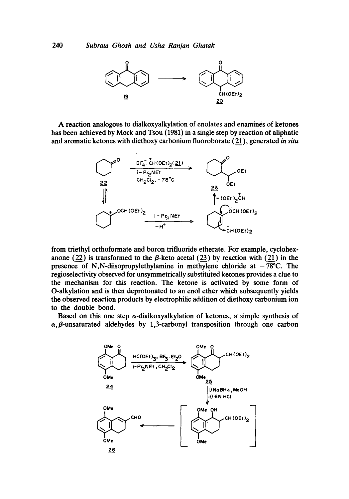

A reaction analogous to dialkoxyalkylation of enolates and enamines of ketones has been achieved by Mock and Tsou (1981) in a single step by reaction of aliphatic and aromatic ketones with diethoxy carbonium fluoroborate (21), generated *in situ* 



from triethyl orthoformate and boron trifluoride etherate. For example, cyclohexanone (22) is transformed to the  $\beta$ -keto acetal (23) by reaction with (21) in the presence of N,N-diisopropylethylamine in methylene chloride at  $-78^{\circ}$ C. The regioselectivity observed for unsymmetrically substituted ketones provides a clue to the mechanism for this reaction. The ketone is activated by some form of O-alkylation and is then deprotonated to an enol ether which subsequently yields the observed reaction products by electrophilic addition of diethoxy carbonium ion to the double bond.

Based on this one step  $\alpha$ -dialkoxyalkylation of ketones, a simple synthesis of  $\alpha$ ,  $\beta$ -unsaturated aldehydes by 1,3-carbonyl transposition through one carbon

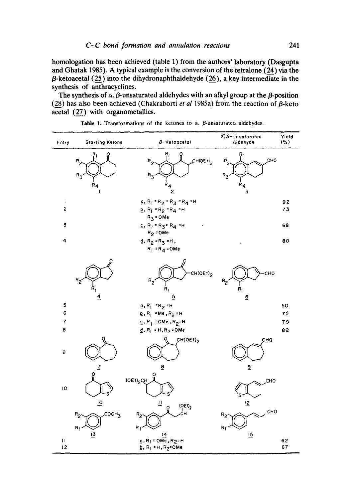**homologation has been achieved (table 1) from the authors' laboratory (Dasgupta and Ghatak 1985). A typical example is the conversion of the tetralone (24) via the O-ketoacetal (25) into the dihydronaphthaldehyde (26), a key intermediate in the synthesis of anthracyclines.** 

The synthesis of  $\alpha$ ,  $\beta$ -unsaturated aldehydes with an alkyl group at the  $\beta$ -position (28) has also been achieved (Chakraborti *et al* 1985a) from the reaction of  $\beta$ -keto **acetal (27) with organometallics.** 

| Entry                        | <b>Starting Ketone</b>                                | $\beta$ -Ketoacetal                                                                                                     | $\mathcal{A}, \mathcal{B}\text{-}$ Unsaturated<br>Aldehyde                      | Yield<br>$($ %) |
|------------------------------|-------------------------------------------------------|-------------------------------------------------------------------------------------------------------------------------|---------------------------------------------------------------------------------|-----------------|
|                              | Ŗ,<br>$R_{2}$<br>$R_{3}$<br>$R_{4}$<br>$\overline{1}$ | $\mathsf{R}_\mathrm{f}$<br>CH(OEt) <sub>2</sub><br>$R_{2}$<br>$R_{3}$<br>$R_{4}$<br>$\overline{2}$                      | $\mathsf{R}_\mathrm{f}$<br>CHO<br>$R_{2}$<br>$R_3$<br>$R_{4}$<br>$\overline{3}$ |                 |
| ţ<br>2                       |                                                       | $g, R_1 = R_2 = R_3 = R_4 = H$<br>$b \cdot R_1 = R_2 = R_4 = H$                                                         |                                                                                 | 92<br>73        |
|                              |                                                       | $R_3 = 0Me$                                                                                                             |                                                                                 |                 |
| 3                            |                                                       | $E, R_1 = R_3 = R_4 = H$<br>$R_2$ = OMe                                                                                 |                                                                                 | 68              |
| 4                            |                                                       | $d, R_2 = R_3 = H,$<br>$R_1$ = $R_4$ = OMe                                                                              |                                                                                 | 80              |
|                              | $R_{2}$<br>$\dot{\mathsf{R}}_i$<br>$\overline{4}$     | Ω<br>CH(OEt) <sub>2</sub><br>$R_{2}$<br>$R_1$<br>$\overline{5}$                                                         | CHO<br>$R_2$<br>$\dot{\mathsf{R}}_\mathrm{I}$<br>$\overline{6}$                 |                 |
| 5                            |                                                       | $g, R_1$ =R <sub>2</sub> =H                                                                                             |                                                                                 | 50              |
| 6<br>$\overline{\mathbf{r}}$ |                                                       | $E, R_1 = Me, R_2 = H$                                                                                                  |                                                                                 | 75              |
| 8                            |                                                       | $E, R_1 = 0Me, R_2 = H$<br>$d, R_1 = H, R_2 = 0$ Me                                                                     |                                                                                 | 79<br>82        |
| 9                            |                                                       | CH(OEt) <sub>2</sub>                                                                                                    | CHQ                                                                             |                 |
| ю                            | $\overline{1}$<br>ö<br>$\overline{10}$                | $\overline{\mathbf{g}}$<br>(OEt) <sub>2</sub> CH<br>旦<br>(OE1)<br>ö                                                     | $\overline{a}$<br>CHO<br>$\overline{2}$                                         |                 |
|                              | COCH <sub>3</sub><br>$R_{2}$<br>$R_1$                 | ċн<br>$R_2$<br>$R_1$                                                                                                    | CHO<br>$R_2$<br>$R_{\parallel}$                                                 |                 |
| $\mathbf{H}$<br>12           | $\overline{13}$                                       | <u>14</u><br>$q$ , R <sub> </sub> = OMe, R <sub>2</sub> =H<br>$\underline{b}$ , R <sub> </sub> = H, R <sub>2</sub> =OMe | $\overline{5}$                                                                  | 62<br>67        |

|  |  | Table 1. Transformations of the ketones to $\alpha$ , $\beta$ -unsaturated aldehydes. |  |  |  |
|--|--|---------------------------------------------------------------------------------------|--|--|--|
|--|--|---------------------------------------------------------------------------------------|--|--|--|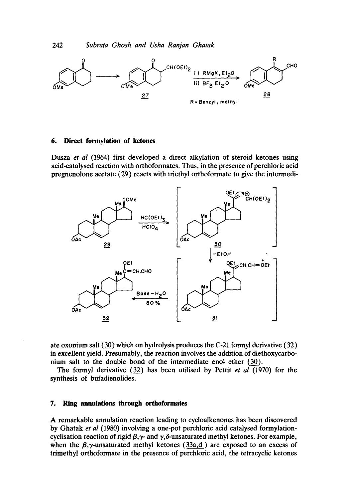

### **6. Direct formylation of ketones**

Dusza *et al* (1964) first developed a direct alkylation of steroid ketones using acid-catalysed reaction with orthoformates. Thus, in the presence of perchloric acid pregnenolone acetate (29) reacts with triethyl orthoformate to give the intermedi-



ate oxonium salt (30) which on hydrolysis produces the C-21 forrnyl derivative (32) in excellent yield. Presumably, the reaction involves the addition of diethoxycarbonium salt to the double bond of the intermediate eno! ether (30).

The formyl derivative (32) has been utilised by Pettit *et al* (1970) for the synthesis of bufadienolides.

# **7. Ring annulations through orthoformates**

A remarkable annulation reaction leading to cycloalkenones has been discovered by Ghatak *et al* (1980) involving a one-pot perchloric acid catalysed formylationcyclisation reaction of rigid  $\beta$ ,  $\gamma$ - and  $\gamma$ ,  $\delta$ -unsaturated methyl ketones. For example, when the  $\beta$ , y-unsaturated methyl ketones (33a,d) are exposed to an excess of trimethyl orthoformate in the presence of perchloric acid, the tetracyclic ketones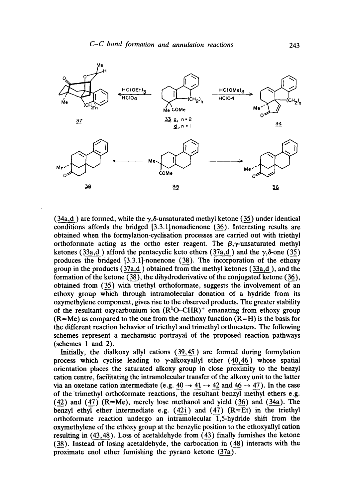

(34a,d) are formed, while the  $\gamma$ , $\delta$ -unsaturated methyl ketone (35) under identical conditions affords the bridged [3.3.1]nonadienone (36). Interesting results are obtained when the formylation-cyclisation processes are carried out with triethyl orthoformate acting as the ortho ester reagent. The  $\beta, \gamma$ -unsaturated methyl ketones (33a,d) afford the pentacyclic keto ethers (37a,d) and the  $\gamma$ , $\delta$ -one (35) produces the bridged [3.3.1]-nonenone (38). The incorporation of the ethoxy group in the products  $(37a,d)$  obtained from the methyl ketones  $(33a,d)$ , and the formation of the ketone (38), the dihydroderivative of the conjugated ketone (36), obtained from (35) with triethyl orthoformate, suggests the involvement of an ethoxy group which through intramolecular donation of a hydride from its oxymethylene component, gives rise to the observed products. The greater stability of the resultant oxycarbonium ion  $(R^1O-CHR)^+$  emanating from ethoxy group  $(R=Me)$  as compared to the one from the methoxy function  $(R=H)$  is the basis for the different reaction behavior of triethyl and trimethyl orthoesters..The following schemes represent a mechanistic portrayal of the proposed reaction pathways (schemes 1 and 2).

Initially, the dialkoxy allyl cations (39,45) are formed during formylation process which cyclise leading to  $\gamma$ -alkoxyallyl ether (40,46) whose spatial orientation places the saturated alkoxy group in close proximity to the benzyl cation centre, facilitating the intramolecular transfer of the alkoxy unit to the latter via an oxetane cation intermediate (e.g.  $40 \rightarrow 41 \rightarrow 42$  and  $46 \rightarrow 47$ ). In the case of the trimethyl orthoformate reactions, the resultant benzyl methyl ethers e.g.  $(42)$  and  $(47)$   $(R=Me)$ , merely lose methanol and yield  $(36)$  and  $(34a)$ . The benzyl ethyl ether intermediate e.g.  $(42i)$  and  $(47)$   $(R=Et)$  in the triethyl orthoformate reaction undergo an intramolecular 1,5-hydride shift from the oxymethylene of the ethoxy group at the benzylic position to the ethoxyallyl cation resulting in  $(43, 48)$ . Loss of acetaldehyde from  $(43)$  finally furnishes the ketone (38). Instead of losing acetaldehyde, the carbocation in (48) interacts with the proximate enol ether furnishing the pyrano ketone (37a).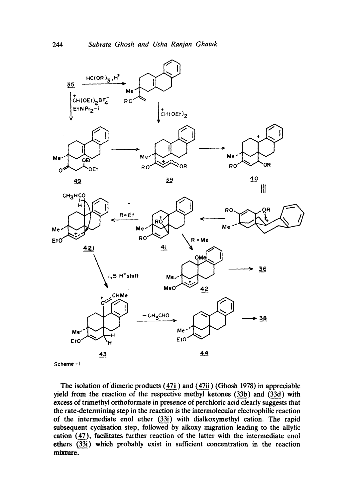

**Scheme** -I

The isolation of dimeric products (47i) and (47ii) (Ghosh 1978) in appreciable **yield from** *the* **reaction of the respective methyl ketones (33b) and (33d) with excess of trimethyl orthoformate in presence of perchloric acid clearly suggests that the rate-determining step in the reaction is the intermolecular electrophilic reaction of the intermediate enol ether (33i) with dialkoxymethyl cation. The rapid subsequent cyclisation step, followed by alkoxy migration leading to the allylic cation (47), facilitates further reaction of the latter with the intermediate enol ethers (33i) which probably exist in sufficient concentration in the reaction mixture.**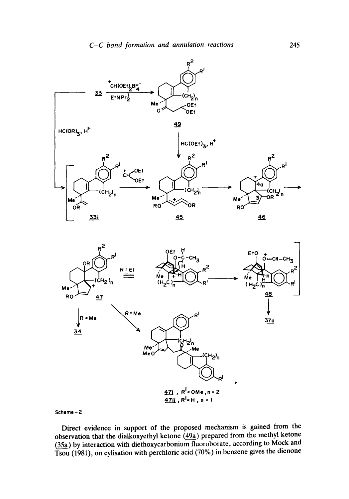



Scheme - 2

Direct evidence in support of the proposed mechanism is gained from the observation that the dialkoxyethyl ketone (49a) prepared from the methyl ketone (35a) by interaction with diethoxycarbonium fluoroborate, according to Mock and Tsou (1981), on cylisation with percfiloric acid (70%) in benzene gives the dienone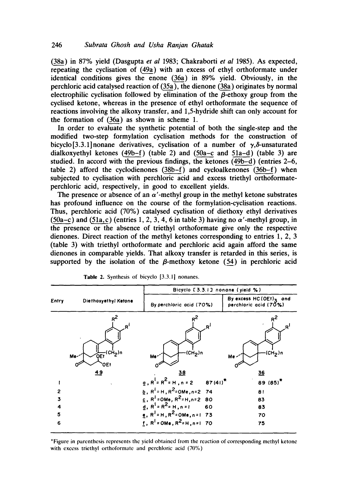(38a) in 87% yield (Dasgupta *et al* 1983; Chakraborti *et al* 1985). As expected, repeating the cyclisation of (49a) with an excess of ethyl orthoformate under identical conditions gives the enone (36a) in 89% yield. Obviously, in the perchloric acid catalysed reaction of (35a), the dienone (38a) originates by normal electrophilic cyclisation followed by elimination of the  $\beta$ -ethoxy group from the cyclised ketone, whereas in the presence of ethyl orthoformate the sequence of reactions involving the alkoxy transfer, and 1,5-hydride shift can only account for the formation of (36a) as shown in scheme 1.

In order to evaluate the synthetic potential of both the single-step and the modified two-step formylation cyclisation methods for the construction of bicyclo<sup>[3.3.1]</sup> nonane derivatives, cyclisation of a number of  $\gamma$ , $\delta$ -unsaturated dialkoxyethyl ketones (49b-f) (table 2) and (50a-c and 51a-d) (table 3) are studied. In accord with the previous findings, the ketones (49b-d) (entries 2-6, table 2) afford the cyclodienones (38b-f) and cycloalkenones (36b-f) when subjected to cyclisation with perchloric acid and excess triethyl orthoformateperchloric acid, respectively, in good to excellent yields.

The presence or absence of an  $\alpha'$ -methyl group in the methyl ketone substrates has profound influence on the course of the formylation-cyclisation reactions. Thus, perchloric acid (70%) catalysed cyclisation of diethoxy ethyl derivatives (50a-c) and (51a, c) (entries 1, 2, 3, 4, 6 in table 3) having no  $\alpha'$ -methyl group, in the presence or the absence of triethyl orthoformate give only the respective dienones. Direct reaction of the methyl ketones corresponding to entries 1, 2, 3 (table 3) with triethyl orthoformate and perchloric acid again afford the same dienones in comparable yields. That alkoxy transfer is retarded in this series, is supported by the isolation of the  $\beta$ -methoxy ketone (54) in perchloric acid

|                                                     | Bicyclo [3.3.1] nonane (yield %)                             |                                                                                                                                                                                                                                                                                                                               |                                                                                     |
|-----------------------------------------------------|--------------------------------------------------------------|-------------------------------------------------------------------------------------------------------------------------------------------------------------------------------------------------------------------------------------------------------------------------------------------------------------------------------|-------------------------------------------------------------------------------------|
| Entry                                               | Diethoxyethyl Ketone                                         | By perchloric acid (70%)                                                                                                                                                                                                                                                                                                      | By excess HC (OEt)3 and<br>perchloric acid (70%)                                    |
| $\overline{c}$<br>$\overline{\mathbf{3}}$<br>4<br>5 | R<br>$\overline{QE1}^{\text{(CH}_2) n}$<br>Me-<br>'OEt<br>49 | (CH <sub>2</sub> )n<br>Mer <sup>-</sup><br>38<br>$q, R^{\frac{1}{2}}R^2 = H, n = 2$ 87(41) <sup>*</sup><br><b>b</b> , $R^{\dagger} = H$ , $R^2 = 0$ Me, n=2 74<br>$c, R^{1}$ = OMe, $R^{2}$ = H, n= 2 80<br>$\frac{1}{4}$ , R <sup>1</sup> = R <sup>2</sup> = H, n = 1<br>60<br><b>e</b> , $R^1 = H$ , $R^2 = OMe$ , n = 1 73 | R۹<br>(CH <sub>2</sub> )n<br>Me<<br><u>36</u><br>$89(85)^*$<br>81<br>83<br>83<br>70 |
| 6                                                   |                                                              | f, $R^1$ = OMe, $R^2$ = H, n = 1 70                                                                                                                                                                                                                                                                                           | 75                                                                                  |

Table 2. Synthesis of bicyclo [3.3.1] nonanes.

\*Figure in parenthesis represents the yield obtained from the reaction of corresponding methyl ketone with excess triethyl orthoformate and perchloric acid (70%)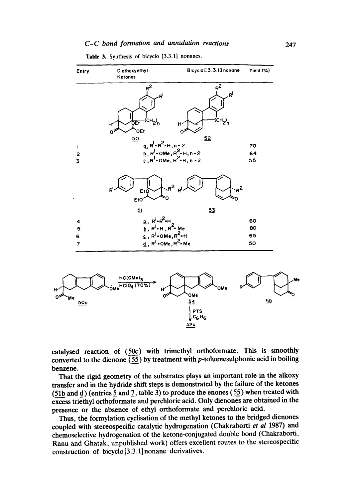# *C-C bond formation and annulation reactions*



**Table 3. Synthesis of bicyclo [3.3.1] nonanes.** 

**catalysed reaction of (50c) with trimethyl orthoformate. This is smoothly converted to the dienone (55) by treatment with p-toluenesulphonic acid in boiling benzene.** 

**That the rigid geometry of the substrates plays an important role in the alkoxy transfer and in the hydride shift steps is demonstrated by the failure of the ketones (51b and d) (entries 5\_ and\_7, table 3) to produce the enones (55) when treated with excess triethyl orthoformate and perchloric acid. Only dienones are obtained in the presence or the absence of ethyl orthoformate and perchloric acid.** 

**Thus, the formylation cyclisation of the methyl ketones to the bridged dienones coupled with stereospecific catalytic hydrogenation (Chakraborti** *et al* **1987) and chemoselective hydrogenation of the ketone-conjugated double bond (Chakraborti, Ranu and Ghatak, unpublished work) offers excellent routes to the stereospecific construction of bicyclo[3.3.1]nonane derivatives.**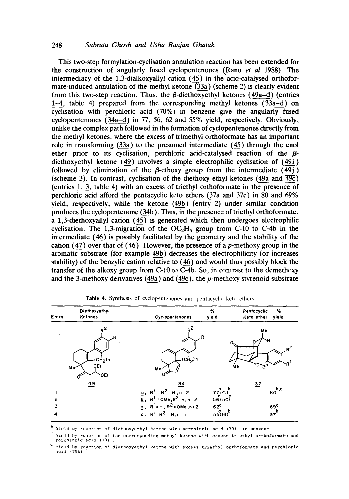This two-step formylation-cyclisation annulation reaction has been extended for the construction of angularly fused cyclopentenones (Ranu *et al* 1988). The intermediacy of the 1,3-dialkoxyallyl cation (45) in the acid-catalysed orthoformate-induced annulation of the methyl ketone  $(33a)$  (scheme 2) is clearly evident from this two-step reaction. Thus, the  $\beta$ -diethoxyethyl ketones (49a–d) (entries 1-4, table 4) prepared from the corresponding methyl ketones  $(33a-d)$  on cyclisation with perchloric acid (70%) in benzene give the angularly fused cyclopentenones (34a-d) in 77, 56, 62 and 55% yield, respectively. Obviously, unlike the complex path followed in the formation of cyclopentenones directly from the methyl ketones, where the excess of trimethyl orthoformate has an important role in transforming (33a) to the presumed intermediate (45) through the enol ether prior to its cyclisation, perchloric acid-catalysed reaction of the  $\beta$ diethoxyethyl ketone (49) involves a simple electrophilic cyclisation of (49i) followed by elimination of the  $\beta$ -ethoxy group from the intermediate  $(49j)$ (scheme 3). In contrast, cyclisation of the diethoxy ethyl ketones (49a and  $\overline{49c}$ ) (entries 1, 3, table 4) with an excess of triethyl orthoformate in the presence of perchloric acid afford the pentacyclic keto ethers (37a and 37c) in 80 and 69% yield, respectively, while the ketone (49b) (entry 2) under similar condition produces the cyclopentenone (34b). Thus, in the presence of triethyl orthoformate, a 1,3-diethoxyallyl cation  $(45)$  is generated which then undergoes electrophilic cyclisation. The 1,3-migration of the  $OC<sub>2</sub>H<sub>5</sub>$  group from C-10 to C-4b in the intermediate (46) is possibly facilitated by the geometry and the stability of the cation (47) over that of (46). However, the presence of a p-methoxy group in the aromatic substrate (for example 49b) decreases the electrophilicity (or increases stability) of the benzylic cation relative to (46) and would thus possibly block the transfer of the alkoxy group from C-10 to  $\overline{C-4b}$ . So, in contrast to the demethoxy and the 3-methoxy derivatives (49a) and (49c), the  $p$ -methoxy styrenoid substrate

| Entry | Diethoxyethyl<br><b>Ketones</b>                          | Cyclopentenones                                 | %<br>yield                    | %<br>Pentocyclic<br>Keto ether<br>yield   |
|-------|----------------------------------------------------------|-------------------------------------------------|-------------------------------|-------------------------------------------|
|       | R<br>(CH2)n<br>OE <sub>t</sub><br>Me <sup>-</sup><br>OEt | $R^2$<br>(CH <sub>2</sub> )n<br>Me <sup>-</sup> | .R'<br>ме                     | Me<br>$n^2$<br>R<br>ั(CH <sub>2</sub> )กั |
|       | 49                                                       | 34<br><b>g</b> , $R^1 = R^2 = H$ , n = 2        |                               | $\overline{27}$<br>$60^{b,c}$             |
| 2     |                                                          | <b>b</b> , $R^1$ = OMe, $R^2$ = H, n = 2        | $77^{9}_{(41)}^{a}$<br>56(50) |                                           |
| 3     |                                                          | $g$ , $R^{1}$ = H, $R^{2}$ = OMe, n = 2         | 62 <sup>d</sup>               | 69 <sup>c</sup>                           |
| 4     |                                                          | d, $R^{\frac{1}{2}} = R^2 = H, n = 1$           | $55(14)^{b}$                  | $37^b$                                    |

Table 4. Synthesis of cyclopentenones and pentacyclic keto ethers.

a<br>Yield by reaction of diethoxyethyl ketone with perchloric acid (70%) in benzene

Yield by reaction of the corresponding methyl ketone with excess triethyl orthoformate and perchloric acid (70%).

 $c$  Yield by reaction of diethoxyethyl ketone with excess triethyl orthoformate and perchloric acld (70%).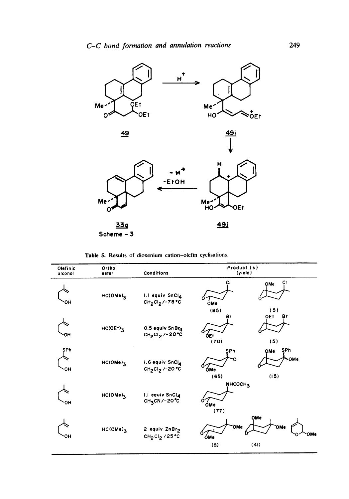

Table 5. Results of dioxenium cation-olefin cyclisations.

| Olefinic<br>alcohol | Ortho<br>ester         | Conditions                                                           | Product (s)<br>(yield)                            |
|---------------------|------------------------|----------------------------------------------------------------------|---------------------------------------------------|
| ЮH                  | $HC(OME)$ <sub>3</sub> | I.I equiv SnCl4<br>$CH_2Cl_2$ /-78°C                                 | СI<br>СI<br>OMe<br><b>ÓMe</b><br>(85)<br>(5)      |
| ۰ОН                 | $HC(OEt)$ <sub>3</sub> | 0.5 equiv Sn Br4<br>CH <sub>2</sub> CI <sub>2</sub> /-20°C           | QE <sub>t</sub><br>Br<br>Br<br>0Et<br>(70)<br>(5) |
| SPh<br>OН           | $HC(OME)$ <sub>3</sub> | 1.6 equiv SnClA<br>CH <sub>2</sub> CI <sub>2</sub> /-20 °C           | SPh<br>SPh<br>OMe<br>OMe<br>ÓMe<br>(15)<br>(65)   |
| он                  | $HC(OME)$ <sub>3</sub> | 1.1 equiv SnCl4<br>$CH3CN/-2O°C$                                     | NHCOCH <sub>3</sub><br><b>ÓMe</b><br>(77)         |
| он                  | $HC(OME)$ <sub>3</sub> | 2 equiv ZnBr <sub>2</sub><br>CH <sub>2</sub> Cl <sub>2</sub> / 25 °C | OMe<br>OMe<br>OMe<br>OMe<br>OMe<br>(41)<br>(8)    |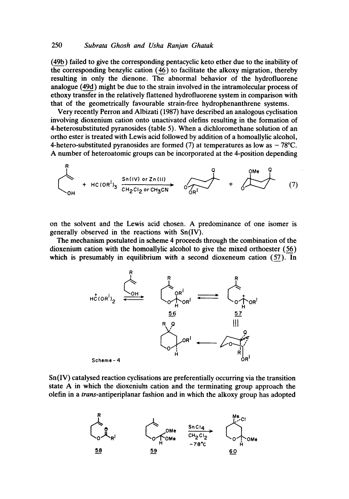(49b) failed to give the corresponding pentacyclic keto ether due to the inability of the corresponding benzylic cation (46) to facilitate the alkoxy migration, thereby resulting in only the dienone. The abnormal behavior of the hydrofluorene analogue (49d) might be due to the strain involved in the intramolecular process of ethoxy transfer in the relatively flattened hydrofluorene system in comparison with that of the geometrically favourable strain-free hydrophenanthrene systems.

Very recently Perron and Albizati (1987) have described an analogous cyclisation involving dioxenium cation onto unactivated olefins resulting in the formation of 4-heterosubstituted pyranosides (table 5). When a dichloromethane solution of an ortho ester is treated with Lewis acid followed by addition of a homoallylic alcohol, 4-hetero-substituted pyranosides are formed (7) at temperatures as low as  $-78^{\circ}$ C. A number of heteroatomic groups can be incorporated at the 4-position depending

$$
+ Hc(OR^{1})_{3} \xrightarrow{Sn(IV) or Zn(III)} \over
$$

on the solvent and the Lewis acid chosen. A predominance of one isomer is generally observed in the reactions with Sn(IV).

The mechanism postulated in scheme 4 proceeds through the combination of the dioxenium cation with the homoallylic alcohol to give the mixed orthoester (56) which is presumably in equilibrium with a second dioxeneum cation (57). In



Sn(IV) catalysed reaction cyclisations are preferentially occurring via the transition state A in which the dioxeniu'm cation and the terminating group approach the olefin in a *trans-antiperiplanar* fashion and in which the alkoxy group has adopted

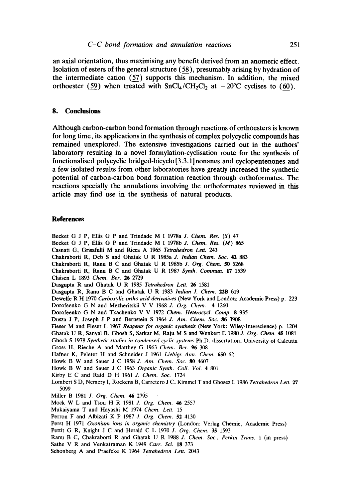**an axial orientation, thus maximising any benefit derived from an anomeric effect. Isolation of esters of the general structure (58), presumably arising by hydration of the intermediate cation (57) supports this mechanism. In addition, the mixed**  orthoester (59) when treated with  $SnCl<sub>4</sub>/CH<sub>2</sub>Cl<sub>2</sub>$  at  $-20^{\circ}$ C cyclises to (60).

# **8. Conclusions**

**Although carbon-carbon bond formation through reactions of orthoesters is known for long time, its applications in the synthesis of complex polycyclic compounds has remained unexplored. The extensive investigations carried out in the authors' laboratory resulting in a novel formylation-cyclisation route for the synthesis of functionalised polycyclic bridged-bicyclo[3.3.1]nonanes and cyclopentenones and a few isolated results from other laboratories have greatly increased the synthetic potential of carbon-carbon bond formation reaction through orthoformates. The reactions specially the annulations involving the orthoformates reviewed in this article may find use in the synthesis of natural products.** 

### **References**

Becket G J P, Ellis G P and Trindade M I 1978a *J. Chem. Res. (S)* 47 Becket G J P, Ellis G P and Trindade M I 1978b *J. Chem. Res. (M) 865*  Casnati G, Grisafulli M and Ricca A 1965 *Tetrahedron Lett.* 243 Chakraborti R, Deb S and Ghatak U R 1985a *J. Indian Chem. Soc.* 42 883 Chakraborti R, Ranu B C and Ghatak U R 1985b *J. Org. Chem. 50* 5268 Chakraborti R, Ranu B C and Ghatak U R 1987 *Synth. Commun.* 17 1539 Claisen L 1893 *Chem. Ber. 26* 2729 Dasgupta R and Ghatak U R 1985 *Tetrahedron Lett. 26* 1581 Dasgupta R, Ranu B C and Ghatak U R 1983 *Indian J. Chem.* 22B 619 Dewelfe R H 1970 *Carboxylic ortho acid derivatives* (New York and London: Academic Press) p. 223 Dorofeenko G N and Mezheritskii V V 1968 *J. Org. Chem.* 4 1260 Dorofeenko G N and Tkachenko V V 1972 *Chem. Heterocycl. Comp.* 8 935 Dusza J P, Joseph J P and Bernstein S 1964 *J. Am. Chem. Soc. 86* 3908 Fieser M and Fieser L 1967 *Reagents for organic synthesis* (New York: Wiley-Interscience) p. 1204 Ghatak U R, Sanyal B, Ghosh S, Sarkar M, Raju M S and Wenkert E 1980 *J. Org. Chem. 45* 1081 Ghosh S 1978 *Synthetic studies in condensed cyclic systems* Ph.D. dissertation, **University of** Calcutta **Gross** H, Rieche A and Matthey G 1963 *Chem. Ber. 96* 308 Hafner K, Peleter H and Schneider J 1961 *Liebigs Ann. Chem.* **650** 62 Howk B W and Sauer J C 1958 *J. Am. Chem. Soc.* **80** 4607 Howk B W and Sauer J C 1963 *Organic Synth. Coll. Vol.* 4 801 Kirby E C and Raid D H 1961 *J. Chem. Soc.* 1724 Lombert S D, Nemery I, Roekens B, Carretcro J C, Kimmel T and Ghosez L 1986 *Tetrahedron Lett.* **27**  5099 Miller B 1981 *J. Org. Chem. 46* 2795 Mock W L and Tsou H R 1981 *J. Org. Chem. 46* 2557 Mukaiyama T and Hayashi M 1974 *Chem. Lett.* 15 Perron F and AIbizati K F 1987 *J. Org. Chem.* 52 4130 Perst H 1971 *Oxonium ions in organic chemistry* (London: Verlag Chemie, Academic Press) **Pettit** G R, Knight J C and Herald C L 1970 *J. Org. Chem.* 35 1593 Ranu B C, Chakraborti R and Ghatak U R 1988 *J. Chem. Soc., Perkin Trans.* 1 (in press) Sathe V R and Venkatraman K 1949 *Curr. Sci.* 18 373 Schonberg A and Praefcke K 1964 *Tetrahedron Lett.* 2043